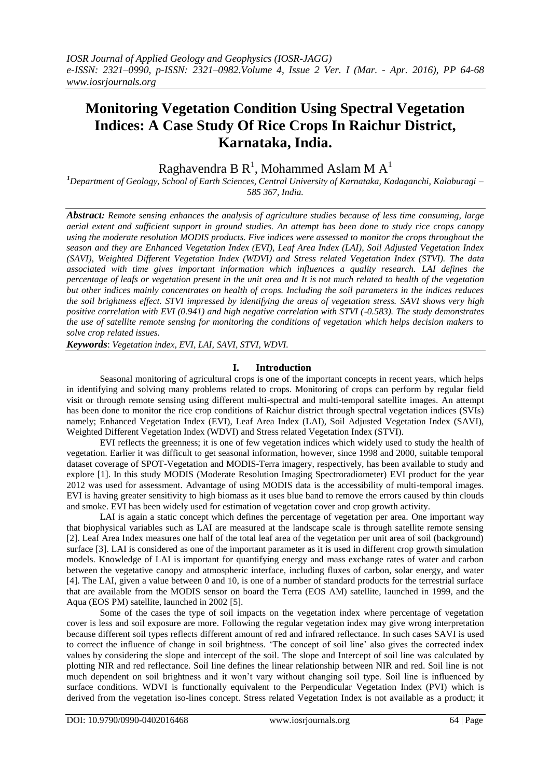# **Monitoring Vegetation Condition Using Spectral Vegetation Indices: A Case Study Of Rice Crops In Raichur District, Karnataka, India.**

Raghavendra B  $\text{R}^1$ , Mohammed Aslam M  $\text{A}^1$ 

*<sup>1</sup>Department of Geology, School of Earth Sciences, Central University of Karnataka, Kadaganchi, Kalaburagi – 585 367, India.*

*Abstract: Remote sensing enhances the analysis of agriculture studies because of less time consuming, large aerial extent and sufficient support in ground studies. An attempt has been done to study rice crops canopy using the moderate resolution MODIS products. Five indices were assessed to monitor the crops throughout the season and they are Enhanced Vegetation Index (EVI), Leaf Area Index (LAI), Soil Adjusted Vegetation Index (SAVI), Weighted Different Vegetation Index (WDVI) and Stress related Vegetation Index (STVI). The data associated with time gives important information which influences a quality research. LAI defines the percentage of leafs or vegetation present in the unit area and It is not much related to health of the vegetation but other indices mainly concentrates on health of crops. Including the soil parameters in the indices reduces the soil brightness effect. STVI impressed by identifying the areas of vegetation stress. SAVI shows very high positive correlation with EVI (0.941) and high negative correlation with STVI (-0.583). The study demonstrates the use of satellite remote sensing for monitoring the conditions of vegetation which helps decision makers to solve crop related issues.*

*Keywords*: *Vegetation index, EVI, LAI, SAVI, STVI, WDVI.*

# **I. Introduction**

Seasonal monitoring of agricultural crops is one of the important concepts in recent years, which helps in identifying and solving many problems related to crops. Monitoring of crops can perform by regular field visit or through remote sensing using different multi-spectral and multi-temporal satellite images. An attempt has been done to monitor the rice crop conditions of Raichur district through spectral vegetation indices (SVIs) namely; Enhanced Vegetation Index (EVI), Leaf Area Index (LAI), Soil Adjusted Vegetation Index (SAVI), Weighted Different Vegetation Index (WDVI) and Stress related Vegetation Index (STVI).

EVI reflects the greenness; it is one of few vegetation indices which widely used to study the health of vegetation. Earlier it was difficult to get seasonal information, however, since 1998 and 2000, suitable temporal dataset coverage of SPOT-Vegetation and MODIS-Terra imagery, respectively, has been available to study and explore [1]. In this study MODIS (Moderate Resolution Imaging Spectroradiometer) EVI product for the year 2012 was used for assessment. Advantage of using MODIS data is the accessibility of multi-temporal images. EVI is having greater sensitivity to high biomass as it uses blue band to remove the errors caused by thin clouds and smoke. EVI has been widely used for estimation of vegetation cover and crop growth activity.

LAI is again a static concept which defines the percentage of vegetation per area. One important way that biophysical variables such as LAI are measured at the landscape scale is through satellite remote sensing [2]. Leaf Area Index measures one half of the total leaf area of the vegetation per unit area of soil (background) surface [3]. LAI is considered as one of the important parameter as it is used in different crop growth simulation models. Knowledge of LAI is important for quantifying energy and mass exchange rates of water and carbon between the vegetative canopy and atmospheric interface, including fluxes of carbon, solar energy, and water [4]. The LAI, given a value between 0 and 10, is one of a number of standard products for the terrestrial surface that are available from the MODIS sensor on board the Terra (EOS AM) satellite, launched in 1999, and the Aqua (EOS PM) satellite, launched in 2002 [5].

Some of the cases the type of soil impacts on the vegetation index where percentage of vegetation cover is less and soil exposure are more. Following the regular vegetation index may give wrong interpretation because different soil types reflects different amount of red and infrared reflectance. In such cases SAVI is used to correct the influence of change in soil brightness. 'The concept of soil line' also gives the corrected index values by considering the slope and intercept of the soil. The slope and Intercept of soil line was calculated by plotting NIR and red reflectance. Soil line defines the linear relationship between NIR and red. Soil line is not much dependent on soil brightness and it won't vary without changing soil type. Soil line is influenced by surface conditions. WDVI is functionally equivalent to the Perpendicular Vegetation Index (PVI) which is derived from the vegetation iso-lines concept. Stress related Vegetation Index is not available as a product; it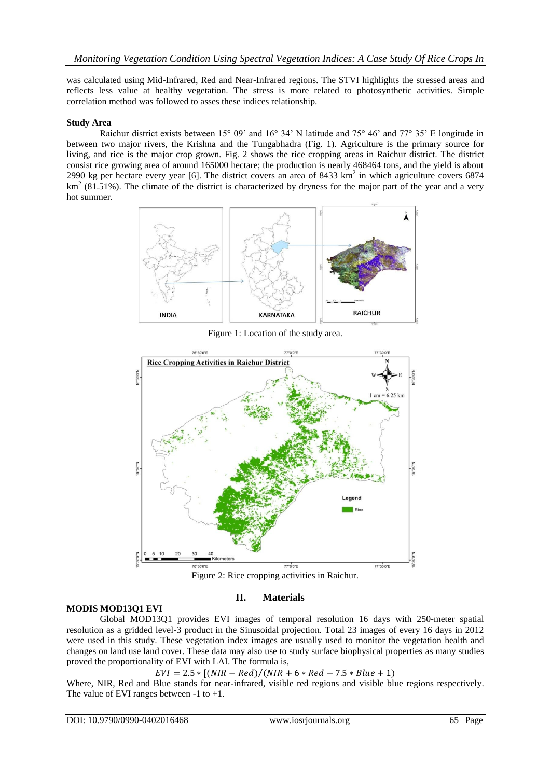was calculated using Mid-Infrared, Red and Near-Infrared regions. The STVI highlights the stressed areas and reflects less value at healthy vegetation. The stress is more related to photosynthetic activities. Simple correlation method was followed to asses these indices relationship.

## **Study Area**

Raichur district exists between 15° 09' and 16° 34' N latitude and 75° 46' and 77° 35' E longitude in between two major rivers, the Krishna and the Tungabhadra (Fig. 1). Agriculture is the primary source for living, and rice is the major crop grown. Fig. 2 shows the rice cropping areas in Raichur district. The district consist rice growing area of around 165000 hectare; the production is nearly 468464 tons, and the yield is about 2990 kg per hectare every year [6]. The district covers an area of 8433 km<sup>2</sup> in which agriculture covers 6874  $km<sup>2</sup>$  (81.51%). The climate of the district is characterized by dryness for the major part of the year and a very hot summer.



Figure 1: Location of the study area.



Figure 2: Rice cropping activities in Raichur.

## **MODIS MOD13Q1 EVI**

# **II. Materials**

Global MOD13Q1 provides EVI images of temporal resolution 16 days with 250-meter spatial resolution as a gridded level-3 product in the Sinusoidal projection. Total 23 images of every 16 days in 2012 were used in this study. These vegetation index images are usually used to monitor the vegetation health and changes on land use land cover. These data may also use to study surface biophysical properties as many studies proved the proportionality of EVI with LAI. The formula is,

 $EVI = 2.5 * [(NIR - Red)/(NIR + 6 * Red - 7.5 * Blue + 1)]$ 

Where, NIR, Red and Blue stands for near-infrared, visible red regions and visible blue regions respectively. The value of EVI ranges between -1 to +1.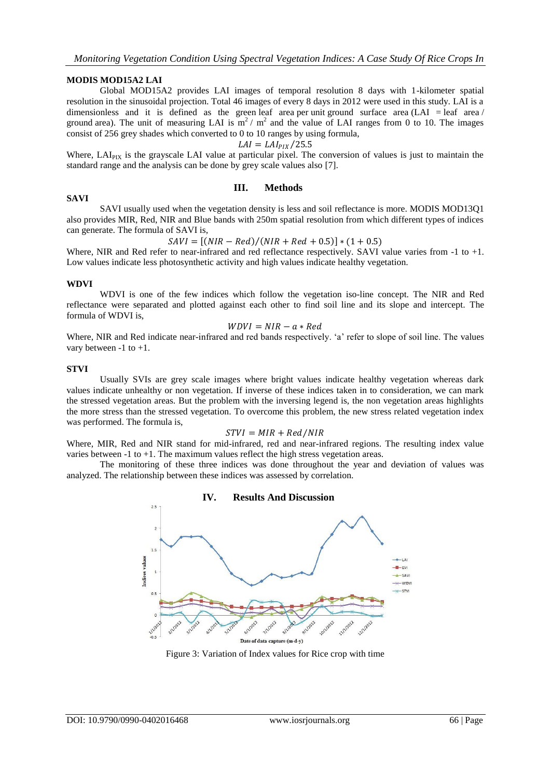#### **MODIS MOD15A2 LAI**

Global MOD15A2 provides LAI images of temporal resolution 8 days with 1-kilometer spatial resolution in the sinusoidal projection. Total 46 images of every 8 days in 2012 were used in this study. LAI is a dimensionless and it is defined as the green leaf area per unit ground surface area (LAI = leaf area  $/$ ) ground area). The unit of measuring LAI is  $m^2 / m^2$  and the value of LAI ranges from 0 to 10. The images consist of 256 grey shades which converted to 0 to 10 ranges by using formula,

$$
LAI = LAI_{PIX}/25.5
$$

Where, LAI<sub>PIX</sub> is the grayscale LAI value at particular pixel. The conversion of values is just to maintain the standard range and the analysis can be done by grey scale values also [7].

# **SAVI**

### **III. Methods**

SAVI usually used when the vegetation density is less and soil reflectance is more. MODIS MOD13Q1 also provides MIR, Red, NIR and Blue bands with 250m spatial resolution from which different types of indices can generate. The formula of SAVI is,

 $SAVI = [(NIR - Red)/(NIR + Red + 0.5)] * (1 + 0.5)$ 

Where, NIR and Red refer to near-infrared and red reflectance respectively. SAVI value varies from -1 to +1. Low values indicate less photosynthetic activity and high values indicate healthy vegetation.

#### **WDVI**

WDVI is one of the few indices which follow the vegetation iso-line concept. The NIR and Red reflectance were separated and plotted against each other to find soil line and its slope and intercept. The formula of WDVI is,

$$
WDVI = NIR - a * Red
$$

Where, NIR and Red indicate near-infrared and red bands respectively. 'a' refer to slope of soil line. The values vary between -1 to +1.

#### **STVI**

Usually SVIs are grey scale images where bright values indicate healthy vegetation whereas dark values indicate unhealthy or non vegetation. If inverse of these indices taken in to consideration, we can mark the stressed vegetation areas. But the problem with the inversing legend is, the non vegetation areas highlights the more stress than the stressed vegetation. To overcome this problem, the new stress related vegetation index was performed. The formula is,

#### $STVI = MIR + Red/NIR$

Where, MIR, Red and NIR stand for mid-infrared, red and near-infrared regions. The resulting index value varies between -1 to +1. The maximum values reflect the high stress vegetation areas.

The monitoring of these three indices was done throughout the year and deviation of values was analyzed. The relationship between these indices was assessed by correlation.



Figure 3: Variation of Index values for Rice crop with time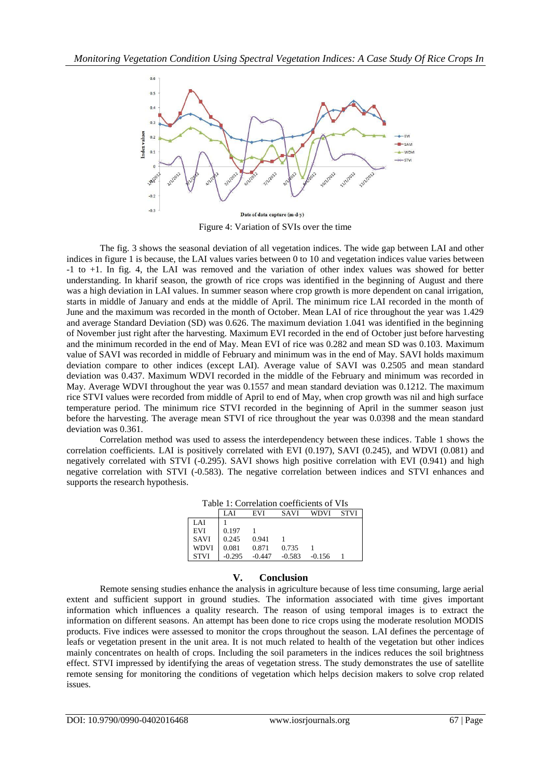

Figure 4: Variation of SVIs over the time

The fig. 3 shows the seasonal deviation of all vegetation indices. The wide gap between LAI and other indices in figure 1 is because, the LAI values varies between 0 to 10 and vegetation indices value varies between -1 to +1. In fig. 4, the LAI was removed and the variation of other index values was showed for better understanding. In kharif season, the growth of rice crops was identified in the beginning of August and there was a high deviation in LAI values. In summer season where crop growth is more dependent on canal irrigation, starts in middle of January and ends at the middle of April. The minimum rice LAI recorded in the month of June and the maximum was recorded in the month of October. Mean LAI of rice throughout the year was 1.429 and average Standard Deviation (SD) was 0.626. The maximum deviation 1.041 was identified in the beginning of November just right after the harvesting. Maximum EVI recorded in the end of October just before harvesting and the minimum recorded in the end of May. Mean EVI of rice was 0.282 and mean SD was 0.103. Maximum value of SAVI was recorded in middle of February and minimum was in the end of May. SAVI holds maximum deviation compare to other indices (except LAI). Average value of SAVI was 0.2505 and mean standard deviation was 0.437. Maximum WDVI recorded in the middle of the February and minimum was recorded in May. Average WDVI throughout the year was 0.1557 and mean standard deviation was 0.1212. The maximum rice STVI values were recorded from middle of April to end of May, when crop growth was nil and high surface temperature period. The minimum rice STVI recorded in the beginning of April in the summer season just before the harvesting. The average mean STVI of rice throughout the year was 0.0398 and the mean standard deviation was 0.361.

Correlation method was used to assess the interdependency between these indices. Table 1 shows the correlation coefficients. LAI is positively correlated with EVI (0.197), SAVI (0.245), and WDVI (0.081) and negatively correlated with STVI (-0.295). SAVI shows high positive correlation with EVI (0.941) and high negative correlation with STVI (-0.583). The negative correlation between indices and STVI enhances and supports the research hypothesis.

| Table 1: Correlation coefficients of VIs |  |
|------------------------------------------|--|
|                                          |  |

|             | LAI      | EVI      | <b>SAVI</b> | WDVI     | <b>STVI</b> |
|-------------|----------|----------|-------------|----------|-------------|
| LAI         |          |          |             |          |             |
| <b>EVI</b>  | 0.197    |          |             |          |             |
| <b>SAVI</b> | 0.245    | 0.941    |             |          |             |
| <b>WDVI</b> | 0.081    | 0.871    | 0.735       |          |             |
| <b>STVI</b> | $-0.295$ | $-0.447$ | $-0.583$    | $-0.156$ |             |

## **V. Conclusion**

Remote sensing studies enhance the analysis in agriculture because of less time consuming, large aerial extent and sufficient support in ground studies. The information associated with time gives important information which influences a quality research. The reason of using temporal images is to extract the information on different seasons. An attempt has been done to rice crops using the moderate resolution MODIS products. Five indices were assessed to monitor the crops throughout the season. LAI defines the percentage of leafs or vegetation present in the unit area. It is not much related to health of the vegetation but other indices mainly concentrates on health of crops. Including the soil parameters in the indices reduces the soil brightness effect. STVI impressed by identifying the areas of vegetation stress. The study demonstrates the use of satellite remote sensing for monitoring the conditions of vegetation which helps decision makers to solve crop related issues.